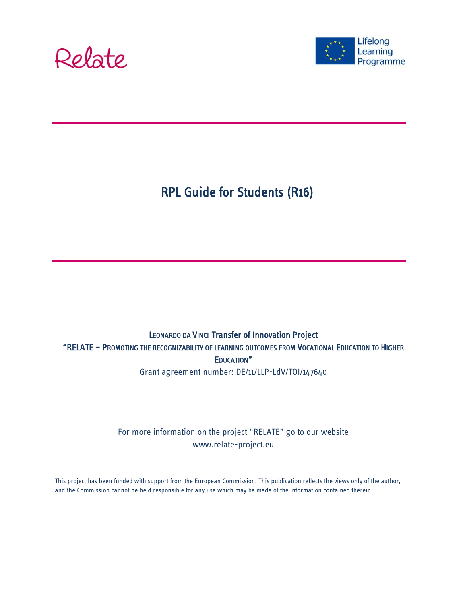



# RPL Guide for Students (R16)

## LEONARDO DA VINCI Transfer of Innovation Project "RELATE – PROMOTING THE RECOGNIZABILITY OF LEARNING OUTCOMES FROM VOCATIONAL EDUCATION TO HIGHER EDUCATION"

Grant agreement number: DE/11/LLP-LdV/TOI/147640

For more information on the project "RELATE" go to our website [www.relate-project.eu](http://www.relate-project.eu/)

This project has been funded with support from the European Commission. This publication reflects the views only of the author, and the Commission cannot be held responsible for any use which may be made of the information contained therein.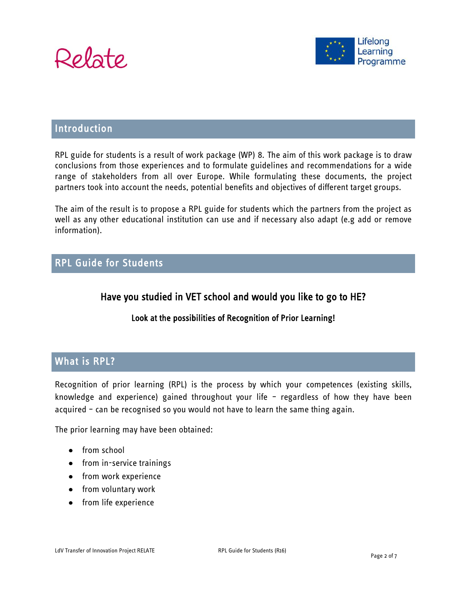



#### Introduction

RPL guide for students is a result of work package (WP) 8. The aim of this work package is to draw conclusions from those experiences and to formulate guidelines and recommendations for a wide range of stakeholders from all over Europe. While formulating these documents, the project partners took into account the needs, potential benefits and objectives of different target groups.

The aim of the result is to propose a RPL guide for students which the partners from the project as well as any other educational institution can use and if necessary also adapt (e.g add or remove information).

#### RPL Guide for Students

#### Have you studied in VET school and would you like to go to HE?

#### Look at the possibilities of Recognition of Prior Learning!

#### What is RPL?

Recognition of prior learning (RPL) is the process by which your competences (existing skills, knowledge and experience) gained throughout your life – regardless of how they have been acquired – can be recognised so you would not have to learn the same thing again.

The prior learning may have been obtained:

- from school
- from in-service trainings
- from work experience
- from voluntary work
- from life experience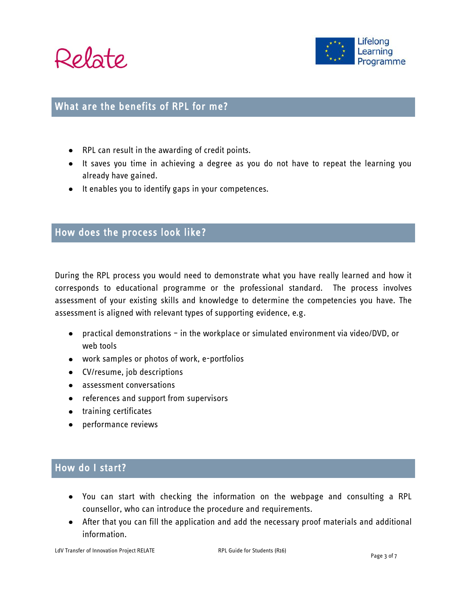



#### What are the benefits of RPL for me?

- RPL can result in the awarding of credit points.
- It saves you time in achieving a degree as you do not have to repeat the learning you already have gained.
- It enables you to identify gaps in your competences.

#### How does the process look like?

During the RPL process you would need to demonstrate what you have really learned and how it corresponds to educational programme or the professional standard. The process involves assessment of your existing skills and knowledge to determine the competencies you have. The assessment is aligned with relevant types of supporting evidence, e.g.

- practical demonstrations in the workplace or simulated environment via video/DVD, or web tools
- work samples or photos of work, e-portfolios
- CV/resume, job descriptions
- assessment conversations
- references and support from supervisors
- training certificates
- performance reviews

#### How do I start?

- You can start with checking the information on the webpage and consulting a RPL counsellor, who can introduce the procedure and requirements.
- After that you can fill the application and add the necessary proof materials and additional information.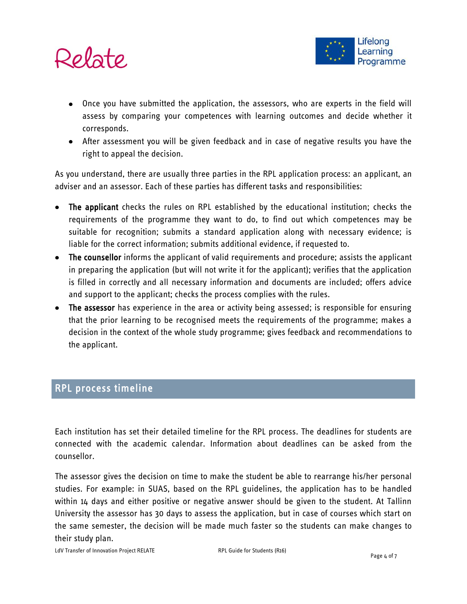



- Once you have submitted the application, the assessors, who are experts in the field will assess by comparing your competences with learning outcomes and decide whether it corresponds.
- After assessment you will be given feedback and in case of negative results you have the right to appeal the decision.

As you understand, there are usually three parties in the RPL application process: an applicant, an adviser and an assessor. Each of these parties has different tasks and responsibilities:

- The applicant checks the rules on RPL established by the educational institution; checks the requirements of the programme they want to do, to find out which competences may be suitable for recognition; submits a standard application along with necessary evidence; is liable for the correct information; submits additional evidence, if requested to.
- The counsellor informs the applicant of valid requirements and procedure; assists the applicant in preparing the application (but will not write it for the applicant); verifies that the application is filled in correctly and all necessary information and documents are included; offers advice and support to the applicant; checks the process complies with the rules.
- The assessor has experience in the area or activity being assessed; is responsible for ensuring that the prior learning to be recognised meets the requirements of the programme; makes a decision in the context of the whole study programme; gives feedback and recommendations to the applicant.

### RPL process timeline

Each institution has set their detailed timeline for the RPL process. The deadlines for students are connected with the academic calendar. Information about deadlines can be asked from the counsellor.

The assessor gives the decision on time to make the student be able to rearrange his/her personal studies. For example: in SUAS, based on the RPL guidelines, the application has to be handled within 14 days and either positive or negative answer should be given to the student. At Tallinn University the assessor has 30 days to assess the application, but in case of courses which start on the same semester, the decision will be made much faster so the students can make changes to their study plan.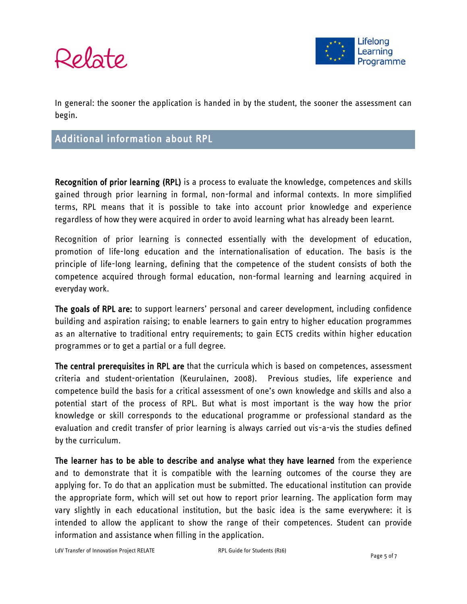

In general: the sooner the application is handed in by the student, the sooner the assessment can begin.

### Additional information about RPL

Recognition of prior learning (RPL) is a process to evaluate the knowledge, competences and skills gained through prior learning in formal, non-formal and informal contexts. In more simplified terms, RPL means that it is possible to take into account prior knowledge and experience regardless of how they were acquired in order to avoid learning what has already been learnt.

Recognition of prior learning is connected essentially with the development of education, promotion of life-long education and the internationalisation of education. The basis is the principle of life-long learning, defining that the competence of the student consists of both the competence acquired through formal education, non-formal learning and learning acquired in everyday work.

The goals of RPL are: to support learners' personal and career development, including confidence building and aspiration raising; to enable learners to gain entry to higher education programmes as an alternative to traditional entry requirements; to gain ECTS credits within higher education programmes or to get a partial or a full degree.

The central prerequisites in RPL are that the curricula which is based on competences, assessment criteria and student-orientation (Keurulainen, 2008). Previous studies, life experience and competence build the basis for a critical assessment of one's own knowledge and skills and also a potential start of the process of RPL. But what is most important is the way how the prior knowledge or skill corresponds to the educational programme or professional standard as the evaluation and credit transfer of prior learning is always carried out vis-a-vis the studies defined by the curriculum.

The learner has to be able to describe and analyse what they have learned from the experience and to demonstrate that it is compatible with the learning outcomes of the course they are applying for. To do that an application must be submitted. The educational institution can provide the appropriate form, which will set out how to report prior learning. The application form may vary slightly in each educational institution, but the basic idea is the same everywhere: it is intended to allow the applicant to show the range of their competences. Student can provide information and assistance when filling in the application.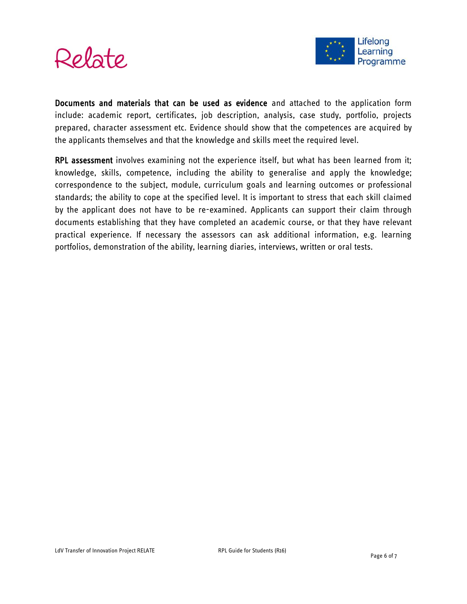



Documents and materials that can be used as evidence and attached to the application form include: academic report, certificates, job description, analysis, case study, portfolio, projects prepared, character assessment etc. Evidence should show that the competences are acquired by the applicants themselves and that the knowledge and skills meet the required level.

RPL assessment involves examining not the experience itself, but what has been learned from it; knowledge, skills, competence, including the ability to generalise and apply the knowledge; correspondence to the subject, module, curriculum goals and learning outcomes or professional standards; the ability to cope at the specified level. It is important to stress that each skill claimed by the applicant does not have to be re-examined. Applicants can support their claim through documents establishing that they have completed an academic course, or that they have relevant practical experience. If necessary the assessors can ask additional information, e.g. learning portfolios, demonstration of the ability, learning diaries, interviews, written or oral tests.